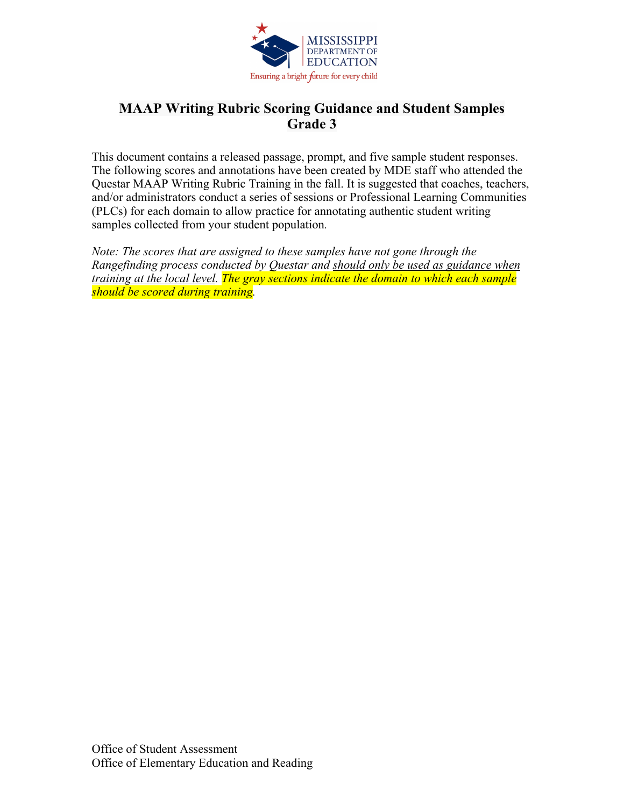

# **MAAP Writing Rubric Scoring Guidance and Student Samples Grade 3**

This document contains a released passage, prompt, and five sample student responses. The following scores and annotations have been created by MDE staff who attended the Questar MAAP Writing Rubric Training in the fall. It is suggested that coaches, teachers, and/or administrators conduct a series of sessions or Professional Learning Communities (PLCs) for each domain to allow practice for annotating authentic student writing samples collected from your student population*.* 

*Note: The scores that are assigned to these samples have not gone through the Rangefinding process conducted by Questar and should only be used as guidance when training at the local level. The gray sections indicate the domain to which each sample should be scored during training.*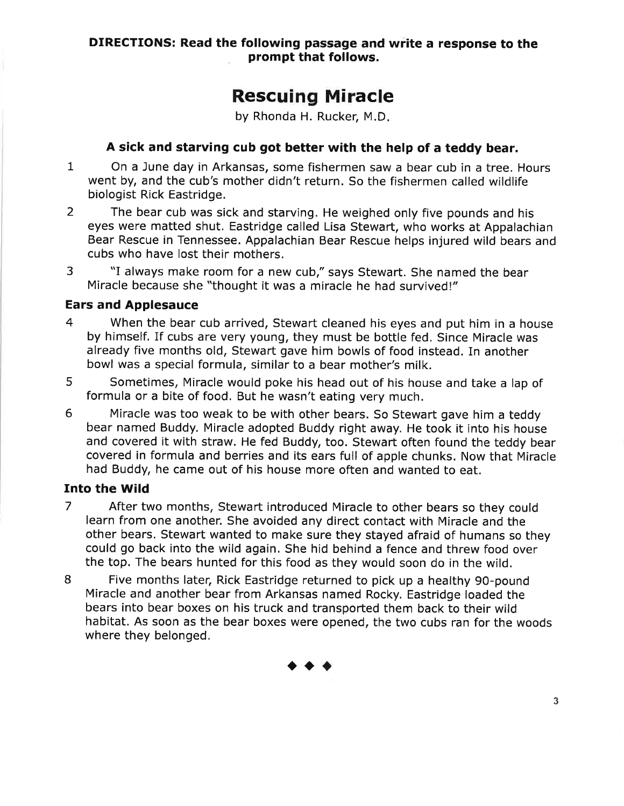# **Rescuing Miracle**

by Rhonda H. Rucker, M.D.

# A sick and starving cub got better with the help of a teddy bear.

- $\mathbf{1}$ On a June day in Arkansas, some fishermen saw a bear cub in a tree. Hours went by, and the cub's mother didn't return. So the fishermen called wildlife biologist Rick Eastridge.
- The bear cub was sick and starving. He weighed only five pounds and his  $\overline{2}$ eyes were matted shut. Eastridge called Lisa Stewart, who works at Appalachian Bear Rescue in Tennessee. Appalachian Bear Rescue helps injured wild bears and cubs who have lost their mothers.
- 3 "I always make room for a new cub," says Stewart. She named the bear Miracle because she "thought it was a miracle he had survived!"

### **Ears and Applesauce**

- $\overline{4}$ When the bear cub arrived, Stewart cleaned his eyes and put him in a house by himself. If cubs are very young, they must be bottle fed. Since Miracle was already five months old, Stewart gave him bowls of food instead. In another bowl was a special formula, similar to a bear mother's milk.
- 5 Sometimes, Miracle would poke his head out of his house and take a lap of formula or a bite of food. But he wasn't eating very much.
- 6 Miracle was too weak to be with other bears. So Stewart gave him a teddy bear named Buddy. Miracle adopted Buddy right away. He took it into his house and covered it with straw. He fed Buddy, too. Stewart often found the teddy bear covered in formula and berries and its ears full of apple chunks. Now that Miracle had Buddy, he came out of his house more often and wanted to eat.

# **Into the Wild**

- $\overline{7}$ After two months, Stewart introduced Miracle to other bears so they could learn from one another. She avoided any direct contact with Miracle and the other bears. Stewart wanted to make sure they stayed afraid of humans so they could go back into the wild again. She hid behind a fence and threw food over the top. The bears hunted for this food as they would soon do in the wild.
- 8 Five months later, Rick Eastridge returned to pick up a healthy 90-pound Miracle and another bear from Arkansas named Rocky. Eastridge loaded the bears into bear boxes on his truck and transported them back to their wild habitat. As soon as the bear boxes were opened, the two cubs ran for the woods where they belonged.

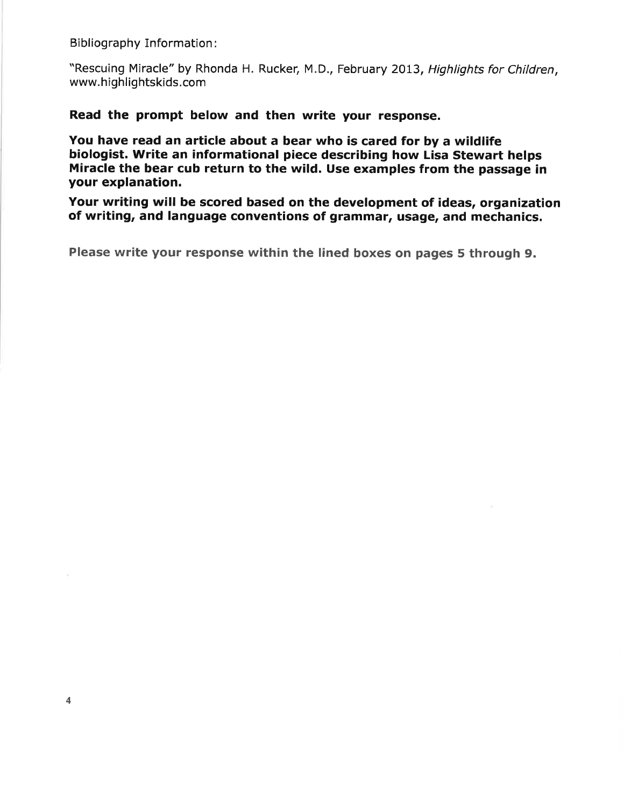**Bibliography Information:** 

"Rescuing Miracle" by Rhonda H. Rucker, M.D., February 2013, Highlights for Children. www.highlightskids.com

Read the prompt below and then write your response.

You have read an article about a bear who is cared for by a wildlife biologist. Write an informational piece describing how Lisa Stewart helps Miracle the bear cub return to the wild. Use examples from the passage in vour explanation.

Your writing will be scored based on the development of ideas, organization of writing, and language conventions of grammar, usage, and mechanics.

Please write your response within the lined boxes on pages 5 through 9.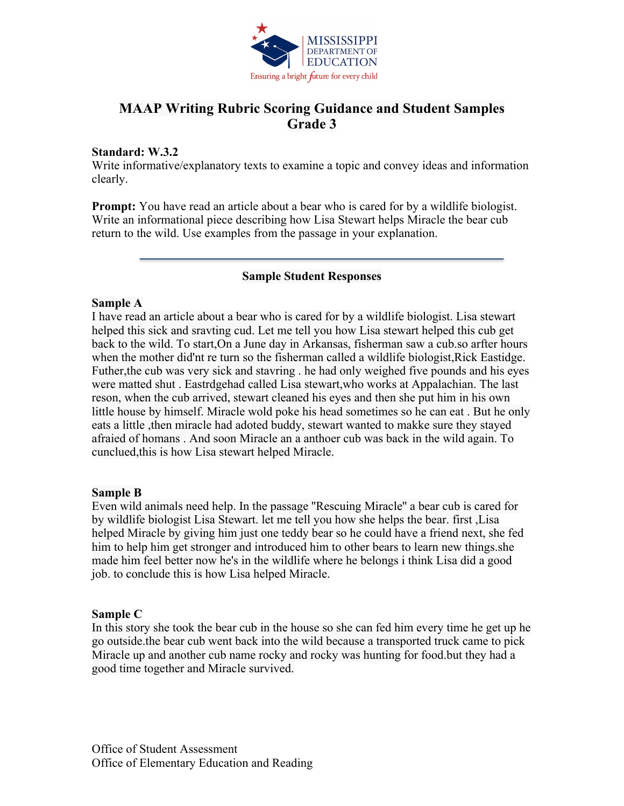

# **MAAP Writing Rubric Scoring Guidance and Student Samples Grade 3**

#### **Standard: W.3.2**

Write informative/explanatory texts to examine a topic and convey ideas and information clearly.

**Prompt:** You have read an article about a bear who is cared for by a wildlife biologist. Write an informational piece describing how Lisa Stewart helps Miracle the bear cub return to the wild. Use examples from the passage in your explanation.

#### **Sample Student Responses**

#### **Sample A**

I have read an article about a bear who is cared for by a wildlife biologist. Lisa stewart helped this sick and sravting cud. Let me tell you how Lisa stewart helped this cub get back to the wild. To start,On a June day in Arkansas, fisherman saw a cub.so arfter hours when the mother did'nt re turn so the fisherman called a wildlife biologist,Rick Eastidge. Futher,the cub was very sick and stavring . he had only weighed five pounds and his eyes were matted shut . Eastrdgehad called Lisa stewart,who works at Appalachian. The last reson, when the cub arrived, stewart cleaned his eyes and then she put him in his own little house by himself. Miracle wold poke his head sometimes so he can eat . But he only eats a little ,then miracle had adoted buddy, stewart wanted to makke sure they stayed afraied of homans . And soon Miracle an a anthoer cub was back in the wild again. To cunclued,this is how Lisa stewart helped Miracle.

#### **Sample B**

Even wild animals need help. In the passage ''Rescuing Miracle'' a bear cub is cared for by wildlife biologist Lisa Stewart. let me tell you how she helps the bear. first ,Lisa helped Miracle by giving him just one teddy bear so he could have a friend next, she fed him to help him get stronger and introduced him to other bears to learn new things.she made him feel better now he's in the wildlife where he belongs i think Lisa did a good job. to conclude this is how Lisa helped Miracle.

#### **Sample C**

In this story she took the bear cub in the house so she can fed him every time he get up he go outside.the bear cub went back into the wild because a transported truck came to pick Miracle up and another cub name rocky and rocky was hunting for food.but they had a good time together and Miracle survived.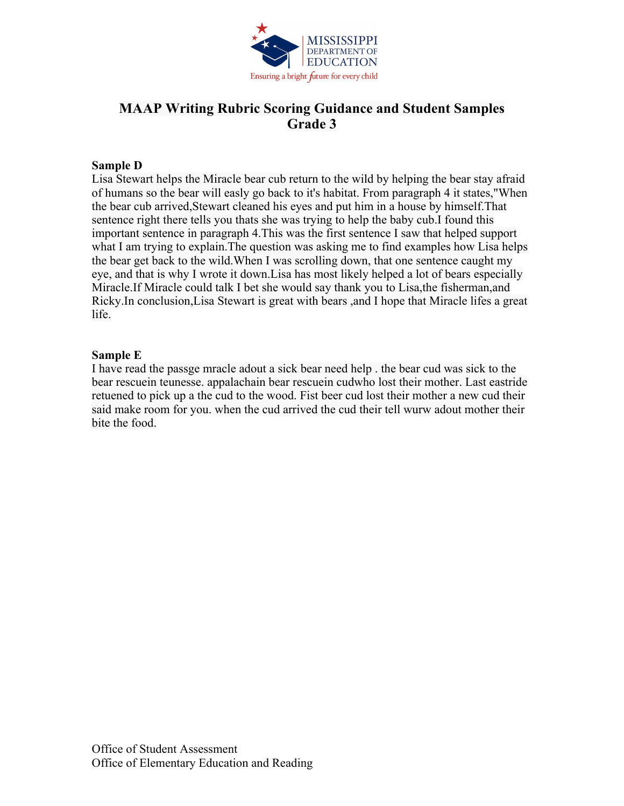

# **MAAP Writing Rubric Scoring Guidance and Student Samples Grade 3**

#### **Sample D**

Lisa Stewart helps the Miracle bear cub return to the wild by helping the bear stay afraid of humans so the bear will easly go back to it's habitat. From paragraph 4 it states,"When the bear cub arrived,Stewart cleaned his eyes and put him in a house by himself.That sentence right there tells you thats she was trying to help the baby cub.I found this important sentence in paragraph 4.This was the first sentence I saw that helped support what I am trying to explain. The question was asking me to find examples how Lisa helps the bear get back to the wild.When I was scrolling down, that one sentence caught my eye, and that is why I wrote it down.Lisa has most likely helped a lot of bears especially Miracle.If Miracle could talk I bet she would say thank you to Lisa,the fisherman,and Ricky.In conclusion,Lisa Stewart is great with bears ,and I hope that Miracle lifes a great life.

#### **Sample E**

I have read the passge mracle adout a sick bear need help . the bear cud was sick to the bear rescuein teunesse. appalachain bear rescuein cudwho lost their mother. Last eastride retuened to pick up a the cud to the wood. Fist beer cud lost their mother a new cud their said make room for you. when the cud arrived the cud their tell wurw adout mother their bite the food.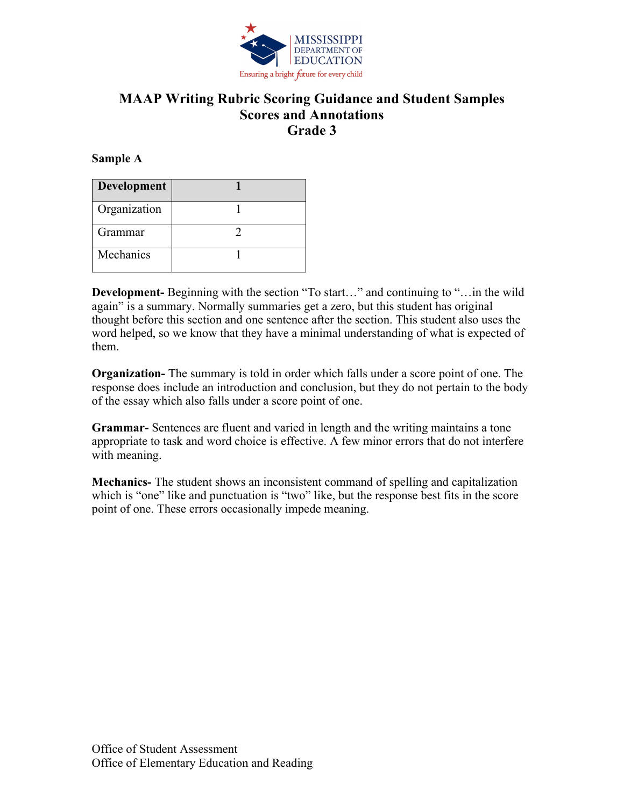

#### **Sample A**

| Development  |  |
|--------------|--|
| Organization |  |
| Grammar      |  |
| Mechanics    |  |

**Development-** Beginning with the section "To start…" and continuing to "…in the wild again" is a summary. Normally summaries get a zero, but this student has original thought before this section and one sentence after the section. This student also uses the word helped, so we know that they have a minimal understanding of what is expected of them.

**Organization-** The summary is told in order which falls under a score point of one. The response does include an introduction and conclusion, but they do not pertain to the body of the essay which also falls under a score point of one.

**Grammar-** Sentences are fluent and varied in length and the writing maintains a tone appropriate to task and word choice is effective. A few minor errors that do not interfere with meaning.

**Mechanics-** The student shows an inconsistent command of spelling and capitalization which is "one" like and punctuation is "two" like, but the response best fits in the score point of one. These errors occasionally impede meaning.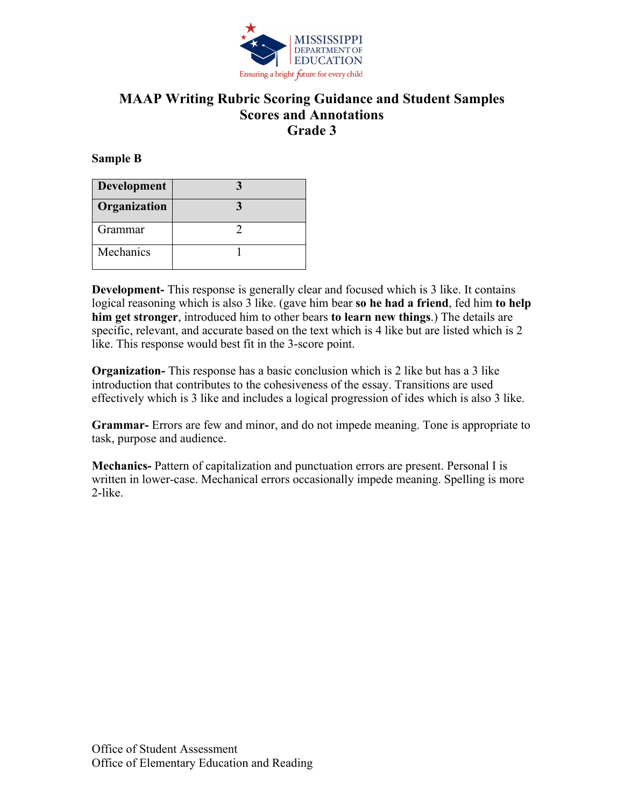

#### **Sample B**

| Development  |  |
|--------------|--|
| Organization |  |
| Grammar      |  |
| Mechanics    |  |

**Development-** This response is generally clear and focused which is 3 like. It contains logical reasoning which is also 3 like. (gave him bear **so he had a friend**, fed him **to help him get stronger**, introduced him to other bears **to learn new things**.) The details are specific, relevant, and accurate based on the text which is 4 like but are listed which is 2 like. This response would best fit in the 3-score point.

**Organization-** This response has a basic conclusion which is 2 like but has a 3 like introduction that contributes to the cohesiveness of the essay. Transitions are used effectively which is 3 like and includes a logical progression of ides which is also 3 like.

**Grammar-** Errors are few and minor, and do not impede meaning. Tone is appropriate to task, purpose and audience.

**Mechanics-** Pattern of capitalization and punctuation errors are present. Personal I is written in lower-case. Mechanical errors occasionally impede meaning. Spelling is more 2-like.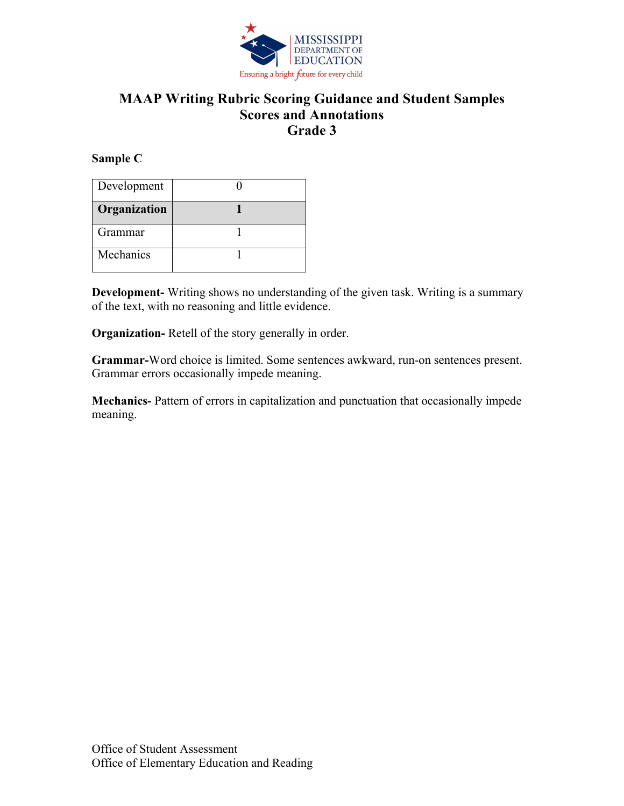

#### **Sample C**

| Development  |  |
|--------------|--|
| Organization |  |
| Grammar      |  |
| Mechanics    |  |

**Development-** Writing shows no understanding of the given task. Writing is a summary of the text, with no reasoning and little evidence.

**Organization-** Retell of the story generally in order.

**Grammar-**Word choice is limited. Some sentences awkward, run-on sentences present. Grammar errors occasionally impede meaning.

**Mechanics-** Pattern of errors in capitalization and punctuation that occasionally impede meaning.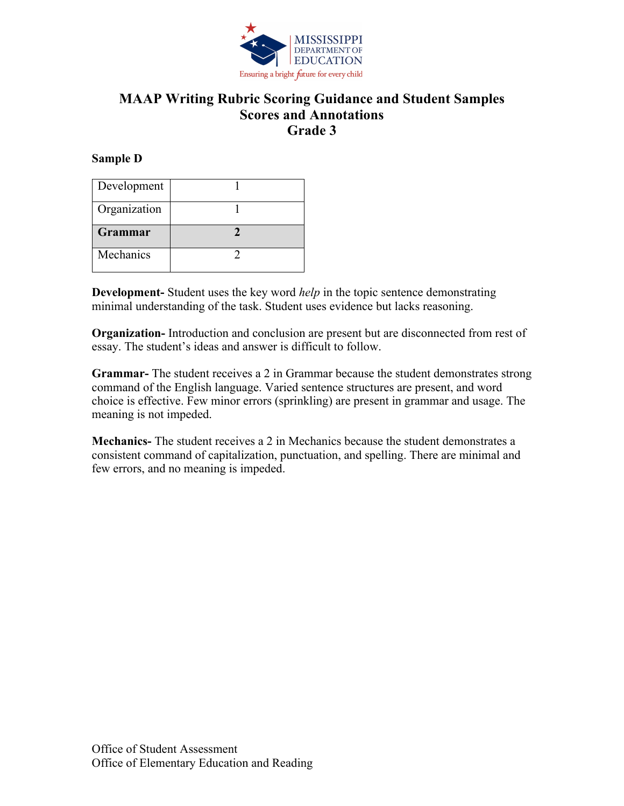

#### **Sample D**

| Development    |  |
|----------------|--|
| Organization   |  |
| <b>Grammar</b> |  |
|                |  |

**Development-** Student uses the key word *help* in the topic sentence demonstrating minimal understanding of the task. Student uses evidence but lacks reasoning.

**Organization-** Introduction and conclusion are present but are disconnected from rest of essay. The student's ideas and answer is difficult to follow.

**Grammar-** The student receives a 2 in Grammar because the student demonstrates strong command of the English language. Varied sentence structures are present, and word choice is effective. Few minor errors (sprinkling) are present in grammar and usage. The meaning is not impeded.

**Mechanics-** The student receives a 2 in Mechanics because the student demonstrates a consistent command of capitalization, punctuation, and spelling. There are minimal and few errors, and no meaning is impeded.